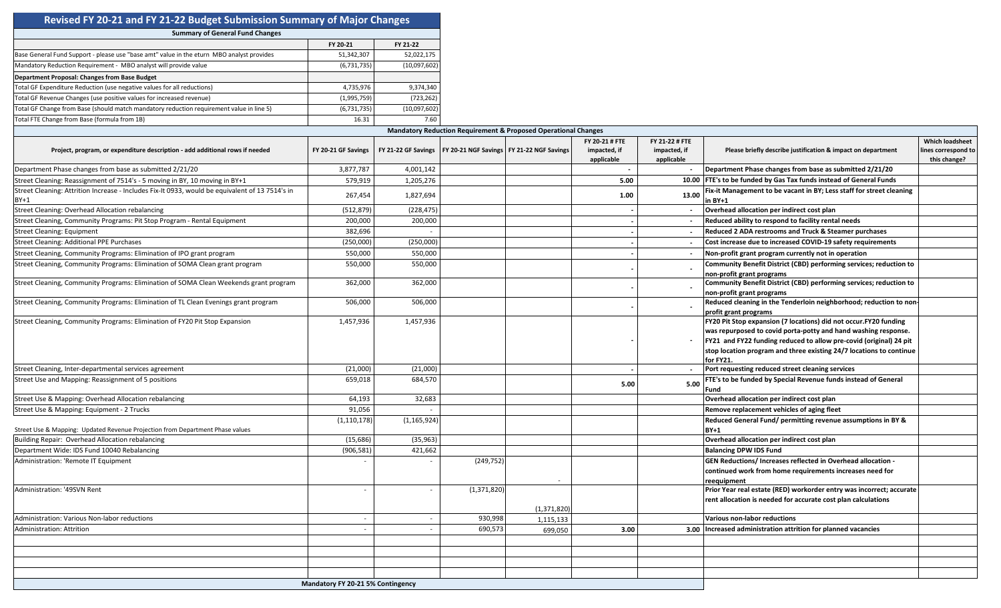| Revised FY 20-21 and FY 21-22 Budget Submission Summary of Major Changes                                  |                                   |                |               |                                                                           |                                              |                                              |                                                                                                                                                                                                                                                                                              |                                                               |
|-----------------------------------------------------------------------------------------------------------|-----------------------------------|----------------|---------------|---------------------------------------------------------------------------|----------------------------------------------|----------------------------------------------|----------------------------------------------------------------------------------------------------------------------------------------------------------------------------------------------------------------------------------------------------------------------------------------------|---------------------------------------------------------------|
| <b>Summary of General Fund Changes</b>                                                                    |                                   |                |               |                                                                           |                                              |                                              |                                                                                                                                                                                                                                                                                              |                                                               |
|                                                                                                           | FY 20-21                          | FY 21-22       |               |                                                                           |                                              |                                              |                                                                                                                                                                                                                                                                                              |                                                               |
| Base General Fund Support - please use "base amt" value in the eturn MBO analyst provides                 | 51,342,307                        | 52,022,175     |               |                                                                           |                                              |                                              |                                                                                                                                                                                                                                                                                              |                                                               |
| Mandatory Reduction Requirement - MBO analyst will provide value                                          | (6,731,735)                       | (10,097,602)   |               |                                                                           |                                              |                                              |                                                                                                                                                                                                                                                                                              |                                                               |
| Department Proposal: Changes from Base Budget                                                             |                                   |                |               |                                                                           |                                              |                                              |                                                                                                                                                                                                                                                                                              |                                                               |
| <b>Total GF Expenditure Reduction (use negative values for all reductions)</b>                            | 4,735,976                         | 9,374,340      |               |                                                                           |                                              |                                              |                                                                                                                                                                                                                                                                                              |                                                               |
| Total GF Revenue Changes (use positive values for increased revenue)                                      | (1,995,759)                       | (723, 262)     |               |                                                                           |                                              |                                              |                                                                                                                                                                                                                                                                                              |                                                               |
| Total GF Change from Base (should match mandatory reduction requirement value in line 5)                  | (6,731,735)                       | (10,097,602)   |               |                                                                           |                                              |                                              |                                                                                                                                                                                                                                                                                              |                                                               |
| Total FTE Change from Base (formula from 1B)                                                              | 16.31                             | 7.60           |               |                                                                           |                                              |                                              |                                                                                                                                                                                                                                                                                              |                                                               |
|                                                                                                           |                                   |                |               | <b>Mandatory Reduction Requirement &amp; Proposed Operational Changes</b> |                                              |                                              |                                                                                                                                                                                                                                                                                              |                                                               |
| Project, program, or expenditure description - add additional rows if needed                              | FY 20-21 GF Savings               |                |               | FY 21-22 GF Savings   FY 20-21 NGF Savings   FY 21-22 NGF Savings         | FY 20-21 # FTE<br>impacted, if<br>applicable | FY 21-22 # FTE<br>impacted, if<br>applicable | Please briefly describe justification & impact on department                                                                                                                                                                                                                                 | <b>Which loadsheet</b><br>lines correspond to<br>this change? |
| Department Phase changes from base as submitted 2/21/20                                                   | 3,877,787                         | 4,001,142      |               |                                                                           |                                              |                                              | Department Phase changes from base as submitted 2/21/20                                                                                                                                                                                                                                      |                                                               |
| Street Cleaning: Reassignment of 7514's - 5 moving in BY, 10 moving in BY+1                               | 579,919                           | 1,205,276      |               |                                                                           | 5.00                                         |                                              | 10.00 FTE's to be funded by Gas Tax funds instead of General Funds                                                                                                                                                                                                                           |                                                               |
| Street Cleaning: Attrition Increase - Includes Fix-It 0933, would be equivalent of 13 7514's in<br>$BY+1$ | 267,454                           | 1,827,694      |               |                                                                           | 1.00                                         | 13.00                                        | Fix-it Management to be vacant in BY; Less staff for street cleaning<br>in BY+1                                                                                                                                                                                                              |                                                               |
| <b>Street Cleaning: Overhead Allocation rebalancing</b>                                                   | (512, 879)                        | (228, 475)     |               |                                                                           |                                              |                                              | Overhead allocation per indirect cost plan                                                                                                                                                                                                                                                   |                                                               |
| Street Cleaning, Community Programs: Pit Stop Program - Rental Equipment                                  | 200,000                           | 200,000        |               |                                                                           |                                              | $\sim$                                       | Reduced ability to respond to facility rental needs                                                                                                                                                                                                                                          |                                                               |
| <b>Street Cleaning: Equipment</b>                                                                         | 382,696                           |                |               |                                                                           |                                              | $\sim$                                       | Reduced 2 ADA restrooms and Truck & Steamer purchases                                                                                                                                                                                                                                        |                                                               |
| <b>Street Cleaning: Additional PPE Purchases</b>                                                          |                                   | (250,000)      |               |                                                                           |                                              |                                              | Cost increase due to increased COVID-19 safety requirements                                                                                                                                                                                                                                  |                                                               |
|                                                                                                           | (250,000)                         |                |               |                                                                           |                                              |                                              |                                                                                                                                                                                                                                                                                              |                                                               |
| Street Cleaning, Community Programs: Elimination of IPO grant program                                     | 550,000                           | 550,000        |               |                                                                           |                                              | $\sim$                                       | Non-profit grant program currently not in operation                                                                                                                                                                                                                                          |                                                               |
| Street Cleaning, Community Programs: Elimination of SOMA Clean grant program                              | 550,000                           | 550,000        |               |                                                                           |                                              |                                              | Community Benefit District (CBD) performing services; reduction to<br>non-profit grant programs                                                                                                                                                                                              |                                                               |
| Street Cleaning, Community Programs: Elimination of SOMA Clean Weekends grant program                     | 362,000                           | 362,000        |               |                                                                           |                                              |                                              | Community Benefit District (CBD) performing services; reduction to<br>non-profit grant programs                                                                                                                                                                                              |                                                               |
| Street Cleaning, Community Programs: Elimination of TL Clean Evenings grant program                       | 506,000                           | 506,000        |               |                                                                           |                                              |                                              | Reduced cleaning in the Tenderloin neighborhood; reduction to non-<br>profit grant programs                                                                                                                                                                                                  |                                                               |
| Street Cleaning, Community Programs: Elimination of FY20 Pit Stop Expansion                               | 1,457,936                         | 1,457,936      |               |                                                                           |                                              |                                              | FY20 Pit Stop expansion (7 locations) did not occur.FY20 funding<br>was repurposed to covid porta-potty and hand washing response.<br>FY21 and FY22 funding reduced to allow pre-covid (original) 24 pit<br>stop location program and three existing 24/7 locations to continue<br>for FY21. |                                                               |
| Street Cleaning, Inter-departmental services agreement                                                    | (21,000)                          | (21,000)       |               |                                                                           |                                              |                                              | Port requesting reduced street cleaning services                                                                                                                                                                                                                                             |                                                               |
| Street Use and Mapping: Reassignment of 5 positions                                                       | 659,018                           | 684,570        |               |                                                                           | 5.00                                         | 5.00                                         | FTE's to be funded by Special Revenue funds instead of General<br>-und                                                                                                                                                                                                                       |                                                               |
| Street Use & Mapping: Overhead Allocation rebalancing                                                     | 64,193                            | 32,683         |               |                                                                           |                                              |                                              | Overhead allocation per indirect cost plan                                                                                                                                                                                                                                                   |                                                               |
| Street Use & Mapping: Equipment - 2 Trucks                                                                | 91,056                            |                |               |                                                                           |                                              |                                              | Remove replacement vehicles of aging fleet                                                                                                                                                                                                                                                   |                                                               |
| Street Use & Mapping: Updated Revenue Projection from Department Phase values                             | (1, 110, 178)                     | (1, 165, 924)  |               |                                                                           |                                              |                                              | Reduced General Fund/ permitting revenue assumptions in BY &<br>BY+1                                                                                                                                                                                                                         |                                                               |
| Building Repair: Overhead Allocation rebalancing                                                          | (15,686)                          | (35, 963)      |               |                                                                           |                                              |                                              | Overhead allocation per indirect cost plan                                                                                                                                                                                                                                                   |                                                               |
| Department Wide: IDS Fund 10040 Rebalancing                                                               | (906, 581)                        | 421,662        |               |                                                                           |                                              |                                              | <b>Balancing DPW IDS Fund</b>                                                                                                                                                                                                                                                                |                                                               |
| Administration: 'Remote IT Equipment                                                                      |                                   |                | (249, 752)    |                                                                           |                                              |                                              | GEN Reductions/ Increases reflected in Overhead allocation<br>continued work from home requirements increases need for<br>reequipment                                                                                                                                                        |                                                               |
| Administration: '49SVN Rent                                                                               |                                   |                | (1, 371, 820) | (1,371,820)                                                               |                                              |                                              | Prior Year real estate (RED) workorder entry was incorrect; accurate<br>rent allocation is needed for accurate cost plan calculations                                                                                                                                                        |                                                               |
| Administration: Various Non-labor reductions                                                              |                                   | $\overline{a}$ | 930,998       | 1,115,133                                                                 |                                              |                                              | <b>Various non-labor reductions</b>                                                                                                                                                                                                                                                          |                                                               |
| Administration: Attrition                                                                                 |                                   |                | 690,573       | 699,050                                                                   | 3.00                                         |                                              | 3.00   Increased administration attrition for planned vacancies                                                                                                                                                                                                                              |                                                               |
|                                                                                                           |                                   |                |               |                                                                           |                                              |                                              |                                                                                                                                                                                                                                                                                              |                                                               |
|                                                                                                           |                                   |                |               |                                                                           |                                              |                                              |                                                                                                                                                                                                                                                                                              |                                                               |
|                                                                                                           |                                   |                |               |                                                                           |                                              |                                              |                                                                                                                                                                                                                                                                                              |                                                               |
|                                                                                                           |                                   |                |               |                                                                           |                                              |                                              |                                                                                                                                                                                                                                                                                              |                                                               |
|                                                                                                           | Mandatory FY 20-21 5% Contingency |                |               |                                                                           |                                              |                                              |                                                                                                                                                                                                                                                                                              |                                                               |